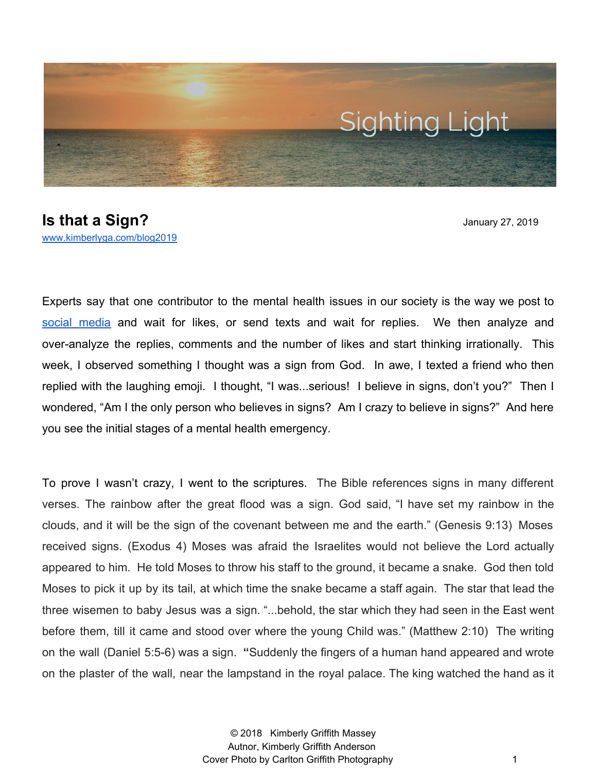

**Is that a Sign?** January 27, 2019 [www.kimberlyga.com/blog2019](http://www.kimberlyga.com/blog2019)

Experts say that one contributor to the mental health issues in our society is the way we post to social [media](https://www.psychologytoday.com/us/blog/how-be-yourself/201803/how-technology-makes-us-anxious) and wait for likes, or send texts and wait for replies. We then analyze and over-analyze the replies, comments and the number of likes and start thinking irrationally. This week, I observed something I thought was a sign from God. In awe, I texted a friend who then replied with the laughing emoji. I thought, "I was...serious! I believe in signs, don't you?" Then I wondered, "Am I the only person who believes in signs? Am I crazy to believe in signs?" And here you see the initial stages of a mental health emergency.

To prove I wasn't crazy, I went to the scriptures. The Bible references signs in many different verses. The rainbow after the great flood was a sign. God said, "I have set my rainbow in the clouds, and it will be the sign of the covenant between me and the earth." (Genesis 9:13) Moses received signs. (Exodus 4) Moses was afraid the Israelites would not believe the Lord actually appeared to him. He told Moses to throw his staff to the ground, it became a snake. God then told Moses to pick it up by its tail, at which time the snake became a staff again. The star that lead the three wisemen to baby Jesus was a sign. "...behold, the star which they had seen in the East went before them, till it came and stood over where the young Child was." (Matthew 2:10) The writing on the wall (Daniel 5:5-6) was a sign. **"**Suddenly the fingers of a human hand appeared and wrote on the plaster of the wall, near the lampstand in the royal palace. The king watched the hand as it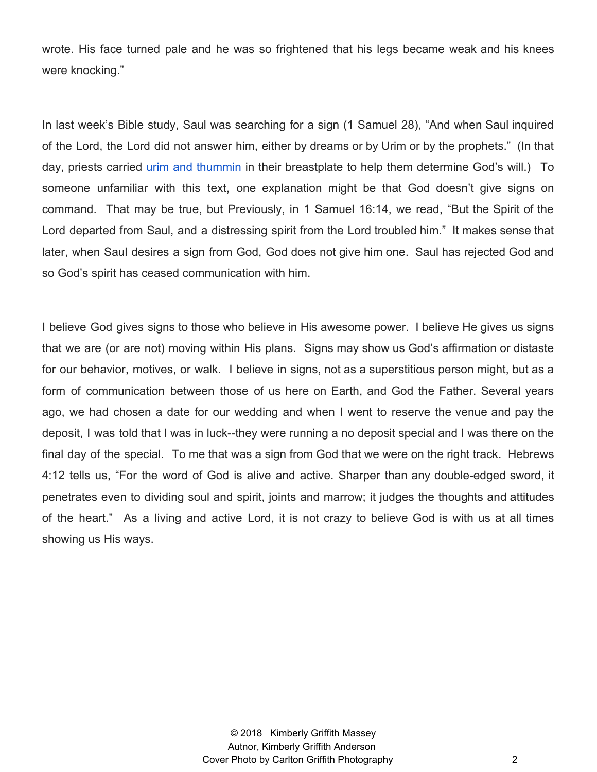wrote. His face turned pale and he was so frightened that his legs became weak and his knees were knocking."

In last week's Bible study, Saul was searching for a sign (1 Samuel 28), "And when Saul inquired of the Lord, the Lord did not answer him, either by dreams or by Urim or by the prophets." (In that day, priests carried urim and [thummin](https://bible.org/question/how-did-urim-and-thummim-function) in their breastplate to help them determine God's will.) To someone unfamiliar with this text, one explanation might be that God doesn't give signs on command. That may be true, but Previously, in 1 Samuel 16:14, we read, "But the Spirit of the Lord departed from Saul, and a distressing spirit from the Lord troubled him." It makes sense that later, when Saul desires a sign from God, God does not give him one. Saul has rejected God and so God's spirit has ceased communication with him.

I believe God gives signs to those who believe in His awesome power. I believe He gives us signs that we are (or are not) moving within His plans. Signs may show us God's affirmation or distaste for our behavior, motives, or walk. I believe in signs, not as a superstitious person might, but as a form of communication between those of us here on Earth, and God the Father. Several years ago, we had chosen a date for our wedding and when I went to reserve the venue and pay the deposit, I was told that I was in luck--they were running a no deposit special and I was there on the final day of the special. To me that was a sign from God that we were on the right track. Hebrews 4:12 tells us, "For the word of God is alive and active. Sharper than any double-edged sword, it penetrates even to dividing soul and spirit, joints and marrow; it judges the thoughts and attitudes of the heart." As a living and active Lord, it is not crazy to believe God is with us at all times showing us His ways.